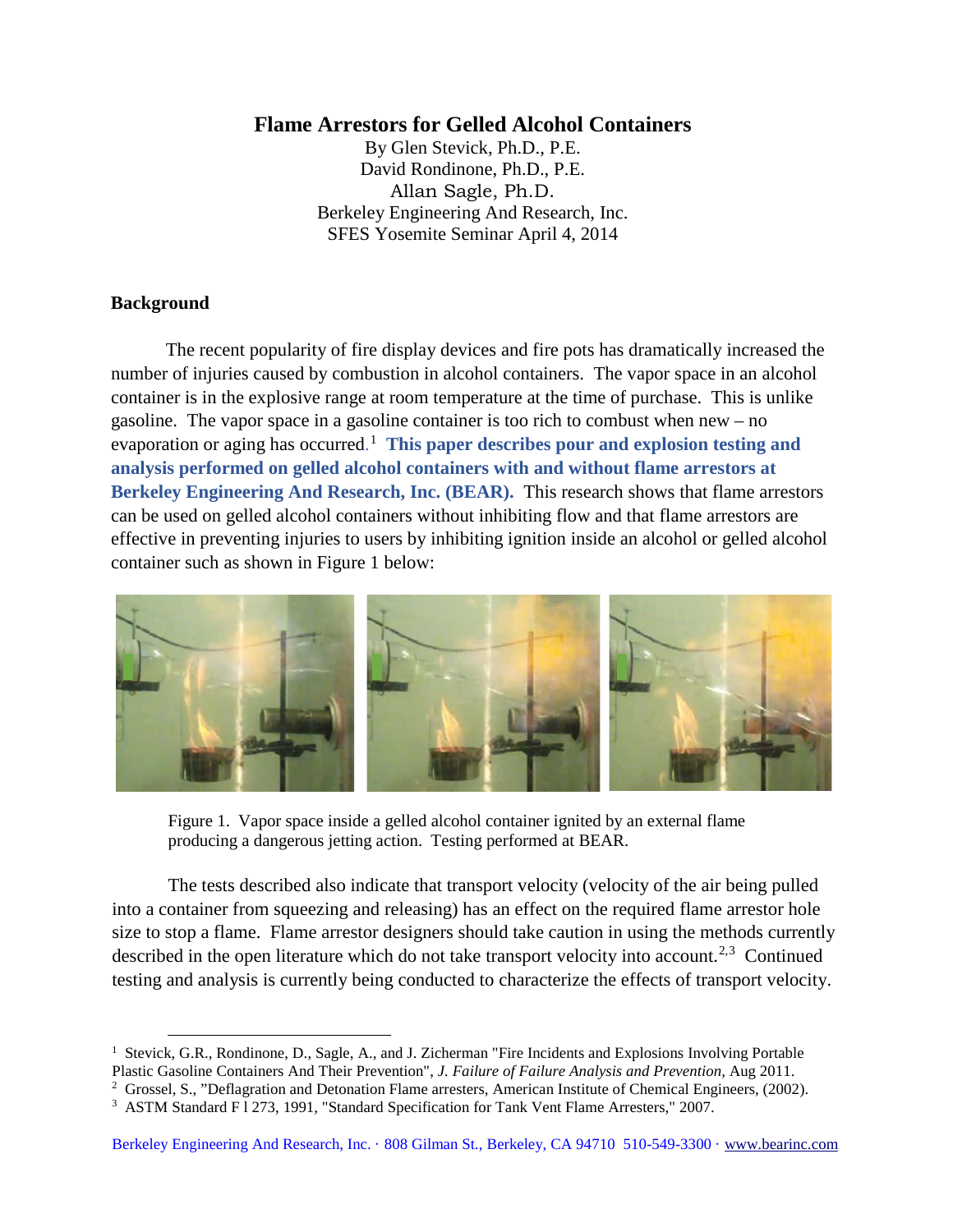# **Flame Arrestors for Gelled Alcohol Containers**

By Glen Stevick, Ph.D., P.E. David Rondinone, Ph.D., P.E. Allan Sagle, Ph.D. Berkeley Engineering And Research, Inc. SFES Yosemite Seminar April 4, 2014

## **Background**

-

The recent popularity of fire display devices and fire pots has dramatically increased the number of injuries caused by combustion in alcohol containers. The vapor space in an alcohol container is in the explosive range at room temperature at the time of purchase. This is unlike gasoline. The vapor space in a gasoline container is too rich to combust when new – no evaporation or aging has occurred. [1](#page-0-0) **This paper describes pour and explosion testing and analysis performed on gelled alcohol containers with and without flame arrestors at Berkeley Engineering And Research, Inc. (BEAR).** This research shows that flame arrestors can be used on gelled alcohol containers without inhibiting flow and that flame arrestors are effective in preventing injuries to users by inhibiting ignition inside an alcohol or gelled alcohol container such as shown in Figure 1 below:



Figure 1. Vapor space inside a gelled alcohol container ignited by an external flame producing a dangerous jetting action. Testing performed at BEAR.

The tests described also indicate that transport velocity (velocity of the air being pulled into a container from squeezing and releasing) has an effect on the required flame arrestor hole size to stop a flame. Flame arrestor designers should take caution in using the methods currently described in the open literature which do not take transport velocity into account.<sup>[2](#page-0-1),[3](#page-0-2)</sup> Continued testing and analysis is currently being conducted to characterize the effects of transport velocity.

<span id="page-0-0"></span><sup>&</sup>lt;sup>1</sup> Stevick, G.R., Rondinone, D., Sagle, A., and J. Zicherman "Fire Incidents and Explosions Involving Portable

Plastic Gasoline Containers And Their Prevention", *J. Failure of Failure Analysis and Prevention,* Aug 2011.

<span id="page-0-1"></span><sup>&</sup>lt;sup>2</sup> Grossel, S., "Deflagration and Detonation Flame arresters, American Institute of Chemical Engineers, (2002).

<span id="page-0-2"></span><sup>&</sup>lt;sup>3</sup> ASTM Standard F1 273, 1991, "Standard Specification for Tank Vent Flame Arresters," 2007.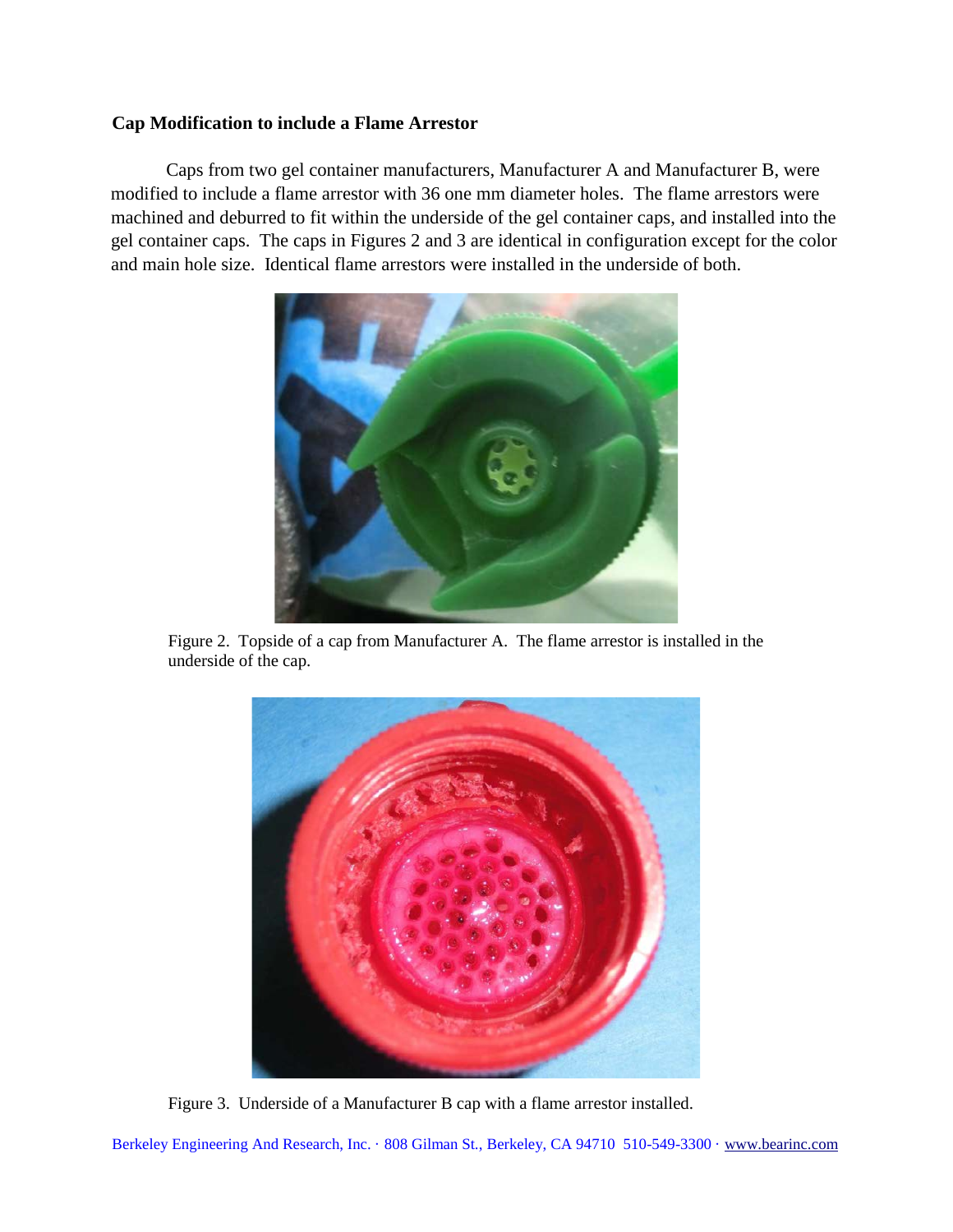# **Cap Modification to include a Flame Arrestor**

Caps from two gel container manufacturers, Manufacturer A and Manufacturer B, were modified to include a flame arrestor with 36 one mm diameter holes. The flame arrestors were machined and deburred to fit within the underside of the gel container caps, and installed into the gel container caps. The caps in Figures 2 and 3 are identical in configuration except for the color and main hole size. Identical flame arrestors were installed in the underside of both.



Figure 2. Topside of a cap from Manufacturer A. The flame arrestor is installed in the underside of the cap.



Figure 3. Underside of a Manufacturer B cap with a flame arrestor installed.

Berkeley Engineering And Research, Inc. · 808 Gilman St., Berkeley, CA 94710 510-549-3300 · www.bearinc.com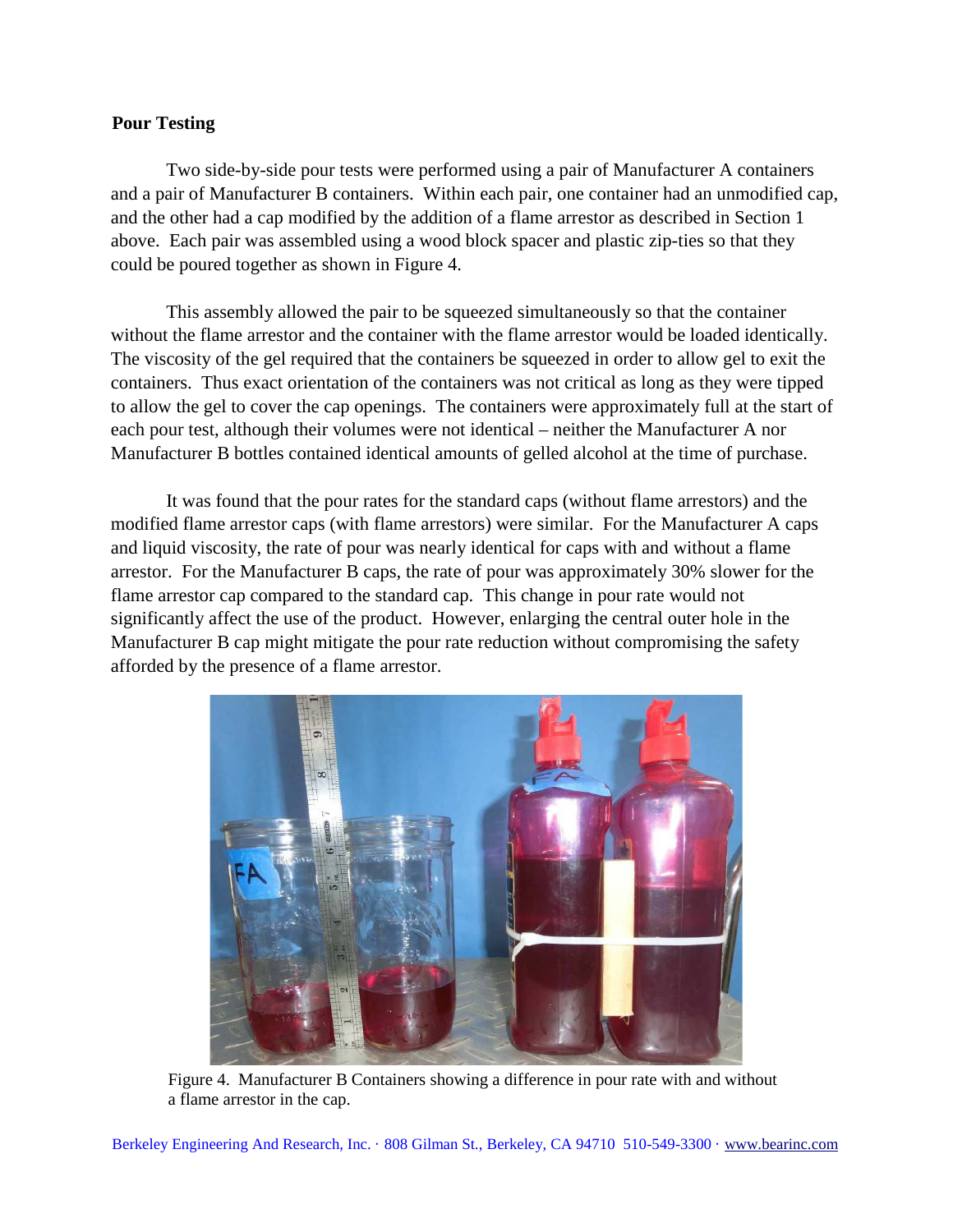### **Pour Testing**

Two side-by-side pour tests were performed using a pair of Manufacturer A containers and a pair of Manufacturer B containers. Within each pair, one container had an unmodified cap, and the other had a cap modified by the addition of a flame arrestor as described in Section 1 above. Each pair was assembled using a wood block spacer and plastic zip-ties so that they could be poured together as shown in Figure 4.

This assembly allowed the pair to be squeezed simultaneously so that the container without the flame arrestor and the container with the flame arrestor would be loaded identically. The viscosity of the gel required that the containers be squeezed in order to allow gel to exit the containers. Thus exact orientation of the containers was not critical as long as they were tipped to allow the gel to cover the cap openings. The containers were approximately full at the start of each pour test, although their volumes were not identical – neither the Manufacturer A nor Manufacturer B bottles contained identical amounts of gelled alcohol at the time of purchase.

It was found that the pour rates for the standard caps (without flame arrestors) and the modified flame arrestor caps (with flame arrestors) were similar. For the Manufacturer A caps and liquid viscosity, the rate of pour was nearly identical for caps with and without a flame arrestor. For the Manufacturer B caps, the rate of pour was approximately 30% slower for the flame arrestor cap compared to the standard cap. This change in pour rate would not significantly affect the use of the product. However, enlarging the central outer hole in the Manufacturer B cap might mitigate the pour rate reduction without compromising the safety afforded by the presence of a flame arrestor.



Figure 4. Manufacturer B Containers showing a difference in pour rate with and without a flame arrestor in the cap.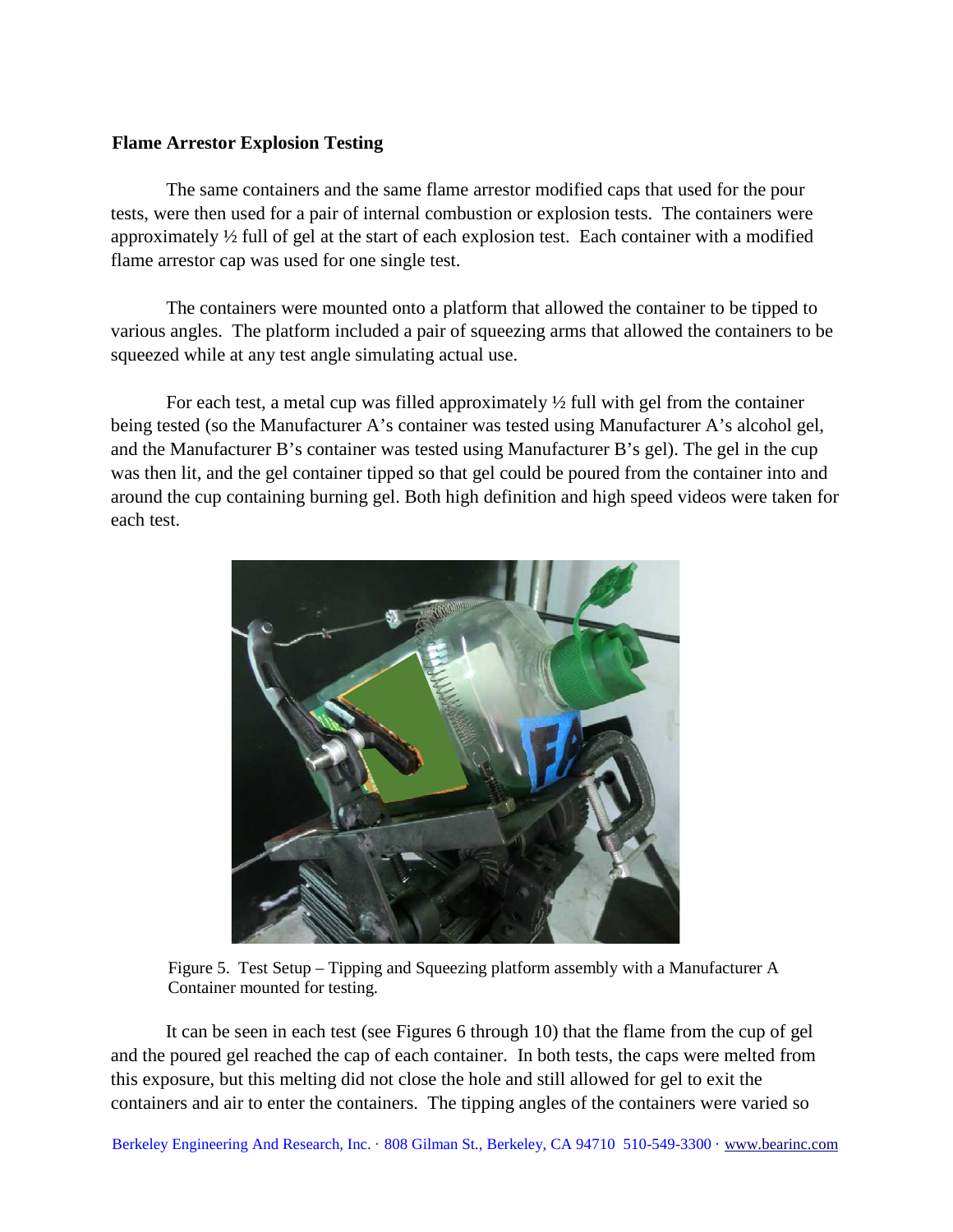#### **Flame Arrestor Explosion Testing**

The same containers and the same flame arrestor modified caps that used for the pour tests, were then used for a pair of internal combustion or explosion tests. The containers were approximately ½ full of gel at the start of each explosion test. Each container with a modified flame arrestor cap was used for one single test.

The containers were mounted onto a platform that allowed the container to be tipped to various angles. The platform included a pair of squeezing arms that allowed the containers to be squeezed while at any test angle simulating actual use.

For each test, a metal cup was filled approximately  $\frac{1}{2}$  full with gel from the container being tested (so the Manufacturer A's container was tested using Manufacturer A's alcohol gel, and the Manufacturer B's container was tested using Manufacturer B's gel). The gel in the cup was then lit, and the gel container tipped so that gel could be poured from the container into and around the cup containing burning gel. Both high definition and high speed videos were taken for each test.



Figure 5. Test Setup – Tipping and Squeezing platform assembly with a Manufacturer A Container mounted for testing.

It can be seen in each test (see Figures 6 through 10) that the flame from the cup of gel and the poured gel reached the cap of each container. In both tests, the caps were melted from this exposure, but this melting did not close the hole and still allowed for gel to exit the containers and air to enter the containers. The tipping angles of the containers were varied so

Berkeley Engineering And Research, Inc. · 808 Gilman St., Berkeley, CA 94710 510-549-3300 · www.bearinc.com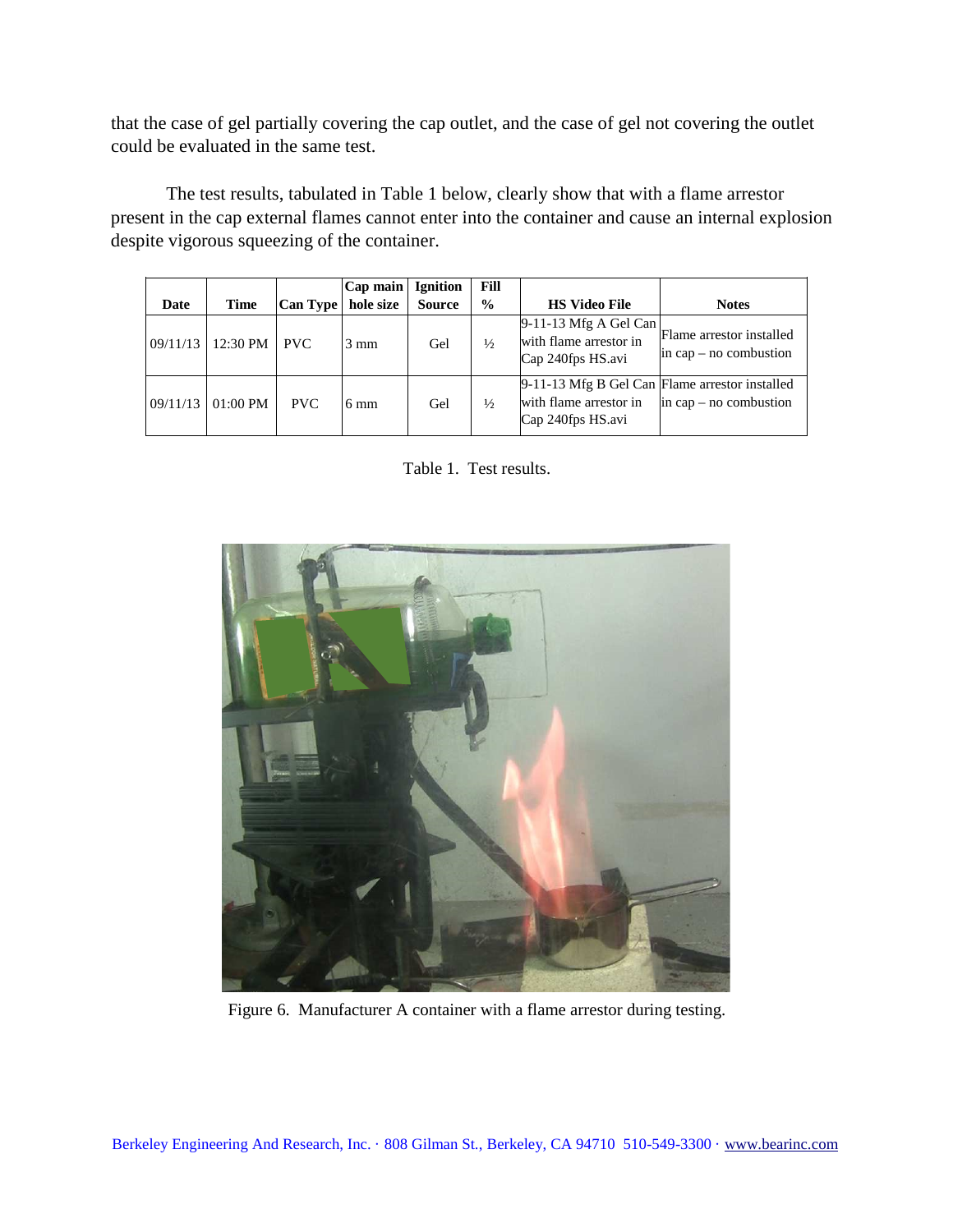that the case of gel partially covering the cap outlet, and the case of gel not covering the outlet could be evaluated in the same test.

The test results, tabulated in Table 1 below, clearly show that with a flame arrestor present in the cap external flames cannot enter into the container and cause an internal explosion despite vigorous squeezing of the container.

| Date     | Time       | <b>Can Type</b> | $ Cap \text{ main} $<br>hole size | <b>Ignition</b><br><b>Source</b> | Fill<br>$\frac{6}{6}$ | <b>HS Video File</b>                                                                          | <b>Notes</b>                                           |
|----------|------------|-----------------|-----------------------------------|----------------------------------|-----------------------|-----------------------------------------------------------------------------------------------|--------------------------------------------------------|
| 09/11/13 | 12:30 PM   | <b>PVC</b>      | $3 \text{ mm}$                    | Gel                              | $\frac{1}{2}$         | $9-11-13$ Mfg A Gel Can<br>with flame arrestor in<br>Cap 240fps HS.avi                        | Flame arrestor installed<br>$\sin$ cap – no combustion |
| 09/11/13 | $01:00$ PM | <b>PVC</b>      | $6 \text{ mm}$                    | Gel                              | $\frac{1}{2}$         | 9-11-13 Mfg B Gel Can Flame arrestor installed<br>with flame arrestor in<br>Cap 240fps HS.avi | in cap – no combustion                                 |

Table 1. Test results.



Figure 6. Manufacturer A container with a flame arrestor during testing.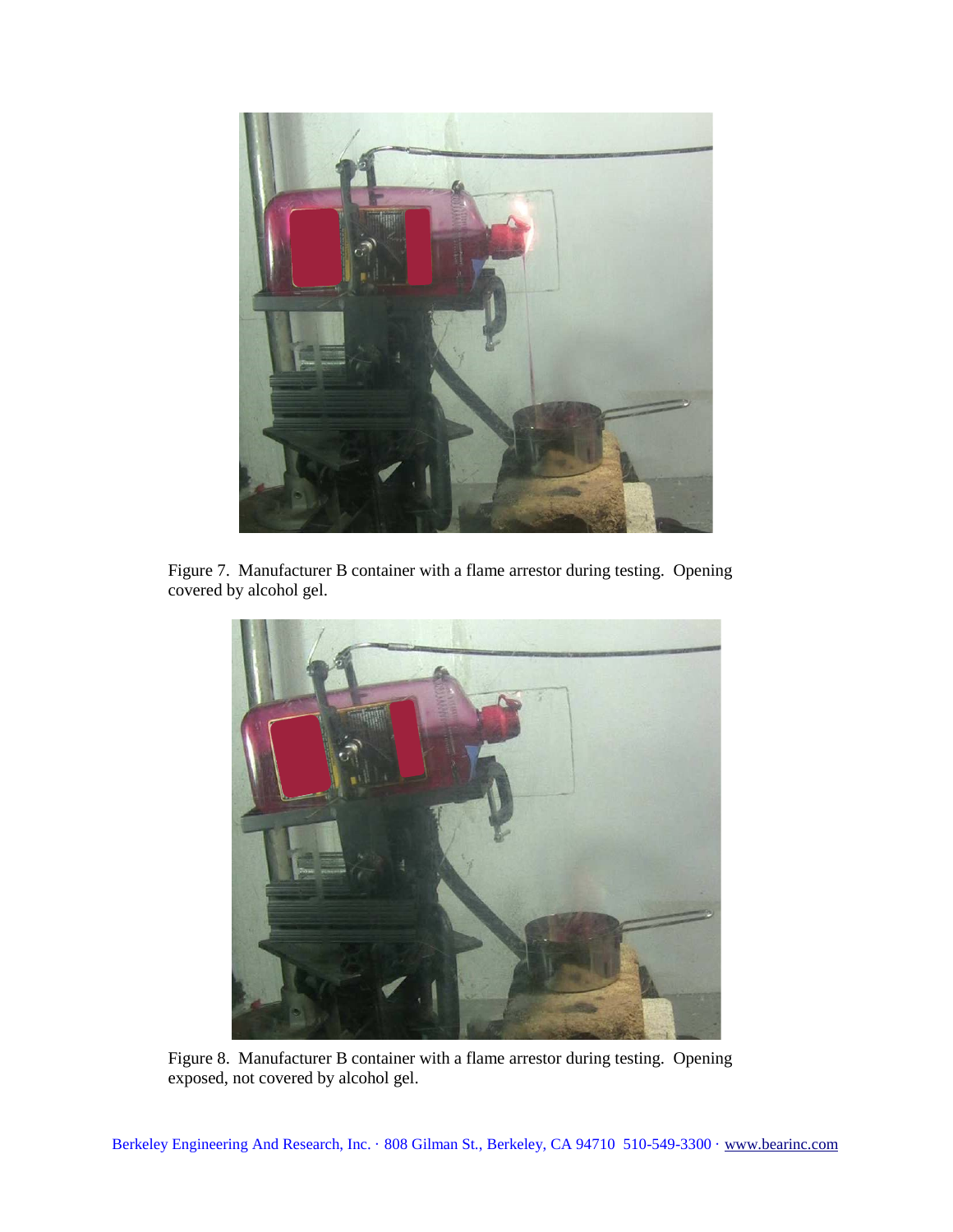

Figure 7. Manufacturer B container with a flame arrestor during testing. Opening covered by alcohol gel.



Figure 8. Manufacturer B container with a flame arrestor during testing. Opening exposed, not covered by alcohol gel.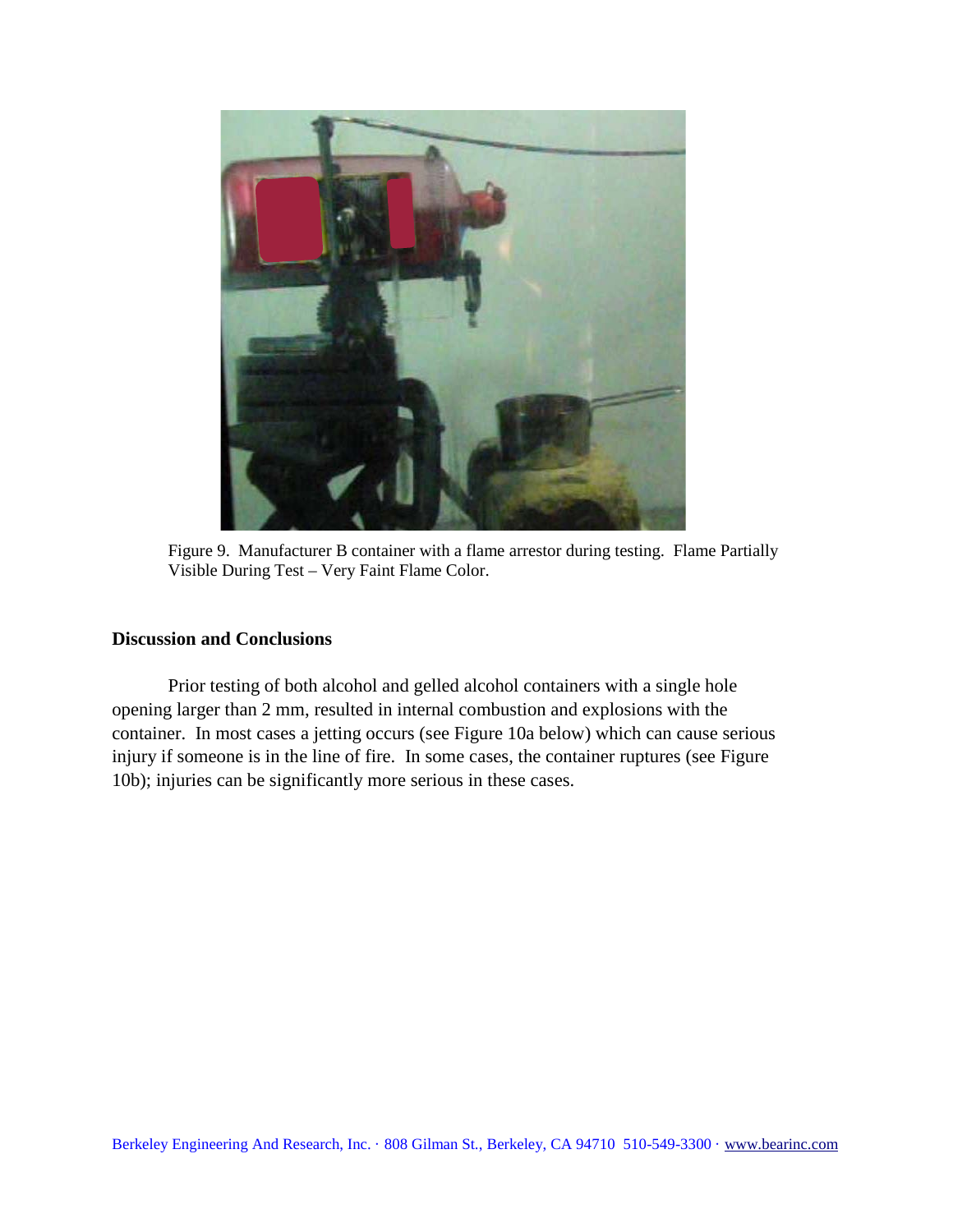

Figure 9. Manufacturer B container with a flame arrestor during testing. Flame Partially Visible During Test – Very Faint Flame Color.

# **Discussion and Conclusions**

Prior testing of both alcohol and gelled alcohol containers with a single hole opening larger than 2 mm, resulted in internal combustion and explosions with the container. In most cases a jetting occurs (see Figure 10a below) which can cause serious injury if someone is in the line of fire. In some cases, the container ruptures (see Figure 10b); injuries can be significantly more serious in these cases.